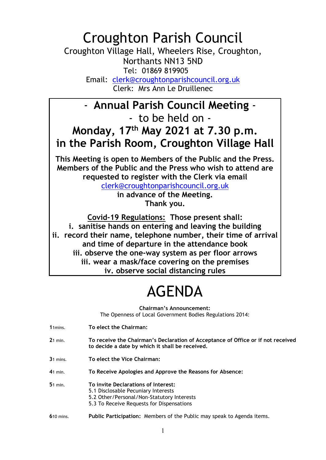## Croughton Parish Council

Croughton Village Hall, Wheelers Rise, Croughton, Northants NN13 5ND Tel: 01869 819905 Email: clerk@croughtonparishcouncil.org.uk

Clerk: Mrs Ann Le Druillenec

## - Annual Parish Council Meeting - - to be held on - Monday, 17th May 2021 at 7.30 p.m. in the Parish Room, Croughton Village Hall

This Meeting is open to Members of the Public and the Press. Members of the Public and the Press who wish to attend are requested to register with the Clerk via email

clerk@croughtonparishcouncil.org.uk in advance of the Meeting. Thank you.

Covid-19 Regulations: Those present shall: i. sanitise hands on entering and leaving the building ii. record their name, telephone number, their time of arrival and time of departure in the attendance book iii. observe the one-way system as per floor arrows iii. wear a mask/face covering on the premises iv. observe social distancing rules

## AGENDA

Chairman's Announcement:

The Openness of Local Government Bodies Regulations 2014:

| $11 \text{mins}$ . | To elect the Chairman:                                                                                                                                                |
|--------------------|-----------------------------------------------------------------------------------------------------------------------------------------------------------------------|
| $21$ min.          | To receive the Chairman's Declaration of Acceptance of Office or if not received<br>to decide a date by which it shall be received.                                   |
| $31$ mins.         | To elect the Vice Chairman:                                                                                                                                           |
| $41$ min.          | To Receive Apologies and Approve the Reasons for Absence:                                                                                                             |
| $51$ min.          | To invite Declarations of Interest:<br>5.1 Disclosable Pecuniary Interests<br>5.2 Other/Personal/Non-Statutory Interests<br>5.3 To Receive Requests for Dispensations |
| <b>610 mins.</b>   | Public Participation: Members of the Public may speak to Agenda items.                                                                                                |

1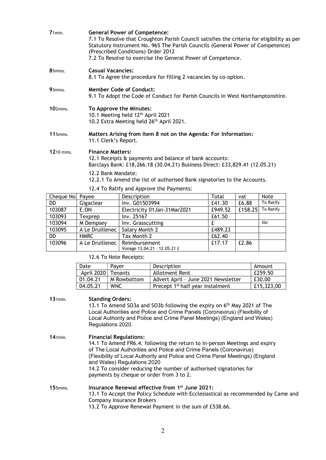| $71$ min.        |                                                                                                                                  | <b>General Power of Competence:</b><br>7.1 To Resolve that Croughton Parish Council satisfies the criteria for eligibility as per<br>Statutory Instrument No. 965 The Parish Councils (General Power of Competence)<br>(Prescribed Conditions) Order 2012<br>7.2 To Resolve to exercise the General Power of Competence. |         |       |                   |
|------------------|----------------------------------------------------------------------------------------------------------------------------------|--------------------------------------------------------------------------------------------------------------------------------------------------------------------------------------------------------------------------------------------------------------------------------------------------------------------------|---------|-------|-------------------|
| 85mins.          |                                                                                                                                  | <b>Casual Vacancies:</b><br>8.1 To Agree the procedure for filling 2 vacancies by co-option.                                                                                                                                                                                                                             |         |       |                   |
| 93mins.          |                                                                                                                                  | <b>Member Code of Conduct:</b><br>9.1 To Adopt the Code of Conduct for Parish Councils in West Northamptonshire.                                                                                                                                                                                                         |         |       |                   |
| 102mins.         | To Approve the Minutes:<br>10.1 Meeting held 12 <sup>th</sup> April 2021<br>10.2 Extra Meeting held 26 <sup>th</sup> April 2021. |                                                                                                                                                                                                                                                                                                                          |         |       |                   |
| $115$ mins.      |                                                                                                                                  | Matters Arising from item 8 not on the Agenda: For Information:<br>11.1 Clerk's Report.                                                                                                                                                                                                                                  |         |       |                   |
| 1210 mins.       | <b>Finance Matters:</b>                                                                                                          | 12.1 Receipts & payments and balance of bank accounts:<br>Barclays Bank: £18,266.18 (30.04.21) Business Direct: £33,829.41 (12.05.21)                                                                                                                                                                                    |         |       |                   |
|                  | 12.2 Bank Mandate:                                                                                                               | 12.2.1 To Amend the list of authorised Bank signatories to the Accounts.                                                                                                                                                                                                                                                 |         |       |                   |
|                  |                                                                                                                                  | 12.4 To Ratify and Approve the Payments:                                                                                                                                                                                                                                                                                 |         |       |                   |
| Cheque No. Payee |                                                                                                                                  | Description                                                                                                                                                                                                                                                                                                              | Total   | vat   | Note              |
| DD               | Gigaclear                                                                                                                        | Inv. G01503994                                                                                                                                                                                                                                                                                                           | £41.30  | £6.88 | To Ratify         |
| 102007           | <b>E ON</b>                                                                                                                      |                                                                                                                                                                                                                                                                                                                          | 0.40.52 |       | CATO.2F1.76.02446 |

| Cheque Not Payee |                 | Description                  | ι οται  | vat     | <b>NOTE</b> |
|------------------|-----------------|------------------------------|---------|---------|-------------|
| DD.              | Gigaclear       | Inv. G01503994               | £41.30  | £6.88   | To Ratify   |
| 103087           | E.ON            | Electricity 01Jan-31Mar2021  | £949.52 | £158.25 | To Ratify   |
| 103093           | Texprep         | Inv. 25167                   | £61.50  |         |             |
| 103094           | M Dempsey       | Inv. Grasscutting            |         |         | tbc         |
| 103095           | A Le Druillenec | Salary Month 2               | £489.23 |         |             |
| DD.              | <b>HMRC</b>     | Tax Month 2                  | £62.40  |         |             |
| 103096           | A Le Druillenec | Reimbursement                | £17.17  | £2.86   |             |
|                  |                 | Vonage 13.04.21 - 12.05.21 £ |         |         |             |

12.6 To Note Receipts:

| Date       | Paver          | Description                                  | Amount     |
|------------|----------------|----------------------------------------------|------------|
| April 2020 | <b>Tenants</b> | Allotment Rent                               | £259.50    |
| 01.04.21   | M Rowbottom    | Advert April - June 2021 Newsletter          | £30.00     |
| 04.05.21   | <b>WNC</b>     | Precept 1 <sup>st</sup> half year instalment | £15,323,00 |

131min. Standing Orders:

13.1 To Amend SO3a and SO3b following the expiry on 6<sup>th</sup> May 2021 of The Local Authorities and Police and Crime Panels (Coronavirus) (Flexibility of Local Authority and Police and Crime Panel Meetings) (England and Wales) Regulations 2020.

141min. Financial Regulations: 14.1 To Amend FR6.4. following the return to in-person Meetings and expiry of The Local Authorities and Police and Crime Panels (Coronavirus) (Flexibility of Local Authority and Police and Crime Panel Meetings) (England and Wales) Regulations 2020 14.2 To consider reducing the number of authorised signatories for payments by cheque or order from 3 to 2.

## 155mins. Insurance Renewal effective from 1<sup>st</sup> June 2021: 13.1 To Accept the Policy Schedule with Ecclesiastical as recommended by Came and Company Insurance Brokers 13.2 To Approve Renewal Payment in the sum of £538.66.